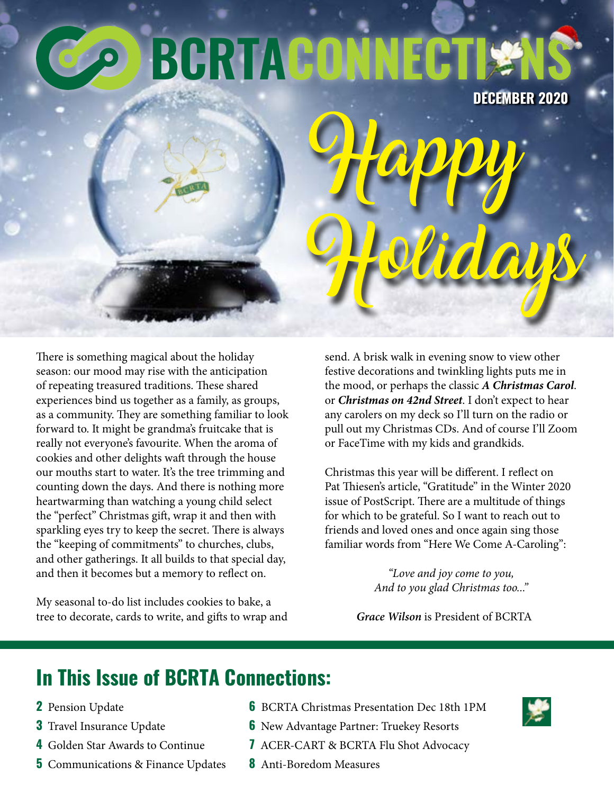# **BGRTACON**

**DECEMBER 2020**

There is something magical about the holiday season: our mood may rise with the anticipation of repeating treasured traditions. These shared experiences bind us together as a family, as groups, as a community. They are something familiar to look forward to. It might be grandma's fruitcake that is really not everyone's favourite. When the aroma of cookies and other delights waft through the house our mouths start to water. It's the tree trimming and counting down the days. And there is nothing more heartwarming than watching a young child select the "perfect" Christmas gift, wrap it and then with sparkling eyes try to keep the secret. There is always the "keeping of commitments" to churches, clubs, and other gatherings. It all builds to that special day, and then it becomes but a memory to reflect on.

My seasonal to-do list includes cookies to bake, a tree to decorate, cards to write, and gifts to wrap and send. A brisk walk in evening snow to view other festive decorations and twinkling lights puts me in the mood, or perhaps the classic *A Christmas Carol*. or *Christmas on 42nd Street*. I don't expect to hear any carolers on my deck so I'll turn on the radio or pull out my Christmas CDs. And of course I'll Zoom or FaceTime with my kids and grandkids.

Holidays

**Happy** 

Christmas this year will be different. I reflect on Pat Thiesen's article, "Gratitude" in the Winter 2020 issue of PostScript. There are a multitude of things for which to be grateful. So I want to reach out to friends and loved ones and once again sing those familiar words from "Here We Come A-Caroling":

> *"Love and joy come to you, And to you glad Christmas too..."*

*Grace Wilson* is President of BCRTA

# **In This Issue of BCRTA Connections:**

- **2** Pension Update
- **3** Travel Insurance Update
- **4** Golden Star Awards to Continue
- **5** Communications & Finance Updates
- **6** BCRTA Christmas Presentation Dec 18th 1PM
- **6** New Advantage Partner: Truekey Resorts
- **7** ACER-CART & BCRTA Flu Shot Advocacy
- **8** Anti-Boredom Measures

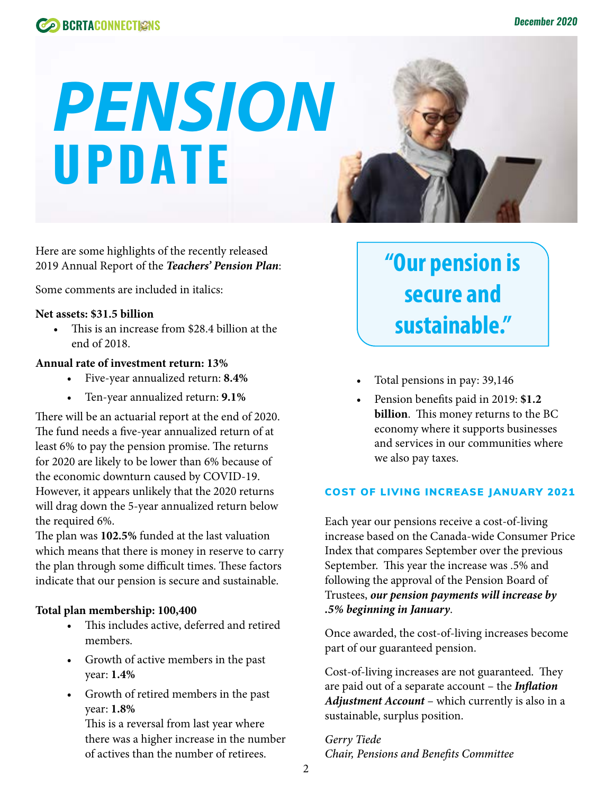

# *PENSION*  **UPDATE**

Here are some highlights of the recently released 2019 Annual Report of the *Teachers' Pension Plan*:

Some comments are included in italics:

#### **Net assets: \$31.5 billion**

• This is an increase from \$28.4 billion at the end of 2018.

#### **Annual rate of investment return: 13%**

- Five-year annualized return: **8.4%**
- Ten-year annualized return: **9.1%**

There will be an actuarial report at the end of 2020. The fund needs a five-year annualized return of at least 6% to pay the pension promise. The returns for 2020 are likely to be lower than 6% because of the economic downturn caused by COVID-19. However, it appears unlikely that the 2020 returns will drag down the 5-year annualized return below the required 6%.

The plan was **102.5%** funded at the last valuation which means that there is money in reserve to carry the plan through some difficult times. These factors indicate that our pension is secure and sustainable.

#### **Total plan membership: 100,400**

- This includes active, deferred and retired members.
- Growth of active members in the past year: **1.4%**
- Growth of retired members in the past year: **1.8%** This is a reversal from last year where

there was a higher increase in the number of actives than the number of retirees.

**"Our pension is secure and sustainable."**

- Total pensions in pay: 39,146
- Pension benefits paid in 2019: **\$1.2 billion**. This money returns to the BC economy where it supports businesses and services in our communities where we also pay taxes.

#### COST OF LIVING INCREASE JANUARY 2021

Each year our pensions receive a cost-of-living increase based on the Canada-wide Consumer Price Index that compares September over the previous September. This year the increase was .5% and following the approval of the Pension Board of Trustees, *our pension payments will increase by .5% beginning in January*.

Once awarded, the cost-of-living increases become part of our guaranteed pension.

Cost-of-living increases are not guaranteed. They are paid out of a separate account – the *Inflation Adjustment Account* – which currently is also in a sustainable, surplus position.

*Gerry Tiede Chair, Pensions and Benefits Committee*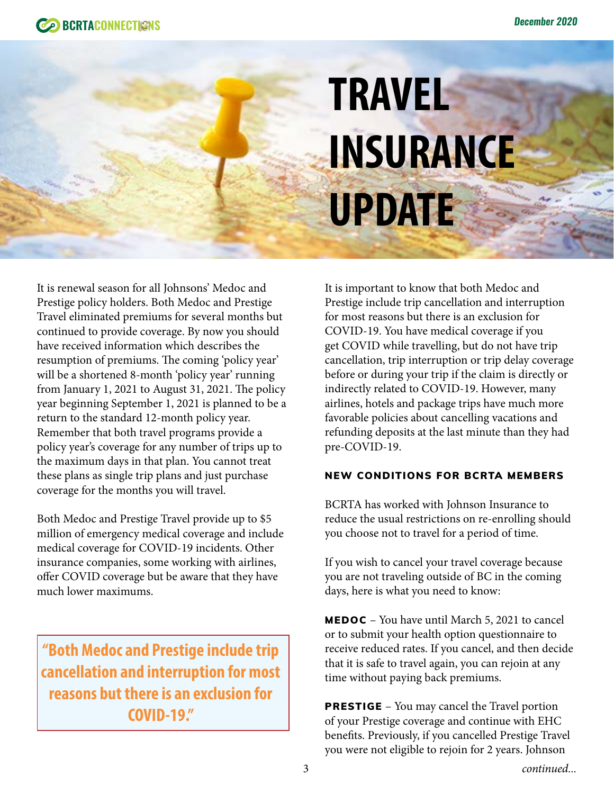# **TRAVEL INSURANCE UPDATE**

It is renewal season for all Johnsons' Medoc and Prestige policy holders. Both Medoc and Prestige Travel eliminated premiums for several months but continued to provide coverage. By now you should have received information which describes the resumption of premiums. The coming 'policy year' will be a shortened 8-month 'policy year' running from January 1, 2021 to August 31, 2021. The policy year beginning September 1, 2021 is planned to be a return to the standard 12-month policy year. Remember that both travel programs provide a policy year's coverage for any number of trips up to the maximum days in that plan. You cannot treat these plans as single trip plans and just purchase coverage for the months you will travel.

Both Medoc and Prestige Travel provide up to \$5 million of emergency medical coverage and include medical coverage for COVID-19 incidents. Other insurance companies, some working with airlines, offer COVID coverage but be aware that they have much lower maximums.

**"Both Medoc and Prestige include trip cancellation and interruption for most reasons but there is an exclusion for COVID-19."**

It is important to know that both Medoc and Prestige include trip cancellation and interruption for most reasons but there is an exclusion for COVID-19. You have medical coverage if you get COVID while travelling, but do not have trip cancellation, trip interruption or trip delay coverage before or during your trip if the claim is directly or indirectly related to COVID-19. However, many airlines, hotels and package trips have much more favorable policies about cancelling vacations and refunding deposits at the last minute than they had pre-COVID-19.

### NEW CONDITIONS FOR BCRTA MEMBERS

BCRTA has worked with Johnson Insurance to reduce the usual restrictions on re-enrolling should you choose not to travel for a period of time.

If you wish to cancel your travel coverage because you are not traveling outside of BC in the coming days, here is what you need to know:

MEDOC – You have until March 5, 2021 to cancel or to submit your health option questionnaire to receive reduced rates. If you cancel, and then decide that it is safe to travel again, you can rejoin at any time without paying back premiums.

**PRESTIGE** – You may cancel the Travel portion of your Prestige coverage and continue with EHC benefits. Previously, if you cancelled Prestige Travel you were not eligible to rejoin for 2 years. Johnson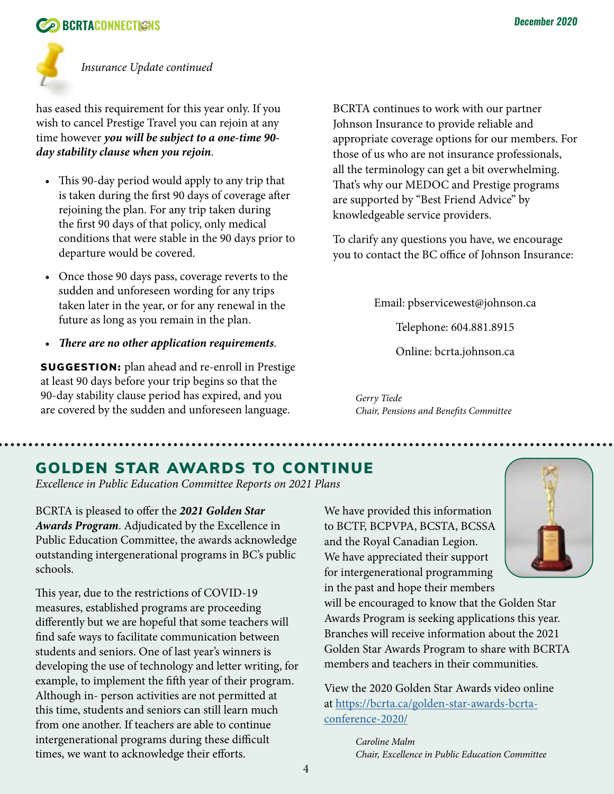## **CONNECTIONS BCRTACONNECTIONS**



*Insurance Update continued*

has eased this requirement for this year only. If you wish to cancel Prestige Travel you can rejoin at any time however *you will be subject to a one-time 90 day stability clause when you rejoin*.

- This 90-day period would apply to any trip that is taken during the first 90 days of coverage after rejoining the plan. For any trip taken during the first 90 days of that policy, only medical conditions that were stable in the 90 days prior to departure would be covered.
- Once those 90 days pass, coverage reverts to the sudden and unforeseen wording for any trips taken later in the year, or for any renewal in the future as long as you remain in the plan.
- *There are no other application requirements*.

SUGGESTION: plan ahead and re-enroll in Prestige at least 90 days before your trip begins so that the 90-day stability clause period has expired, and you are covered by the sudden and unforeseen language.

BCRTA continues to work with our partner Johnson Insurance to provide reliable and appropriate coverage options for our members. For those of us who are not insurance professionals, all the terminology can get a bit overwhelming. That's why our MEDOC and Prestige programs are supported by "Best Friend Advice" by knowledgeable service providers.

To clarify any questions you have, we encourage you to contact the BC office of Johnson Insurance:

Email: pbservicewest@johnson.ca

Telephone: 604.881.8915

Online: bcrta.johnson.ca

*Gerry Tiede Chair, Pensions and Benefits Committee*

# GOLDEN STAR AWARDS TO CONTINUE

*Excellence in Public Education Committee Reports on 2021 Plans*

BCRTA is pleased to offer the *2021 Golden Star Awards Program*. Adjudicated by the Excellence in Public Education Committee, the awards acknowledge outstanding intergenerational programs in BC's public schools.

This year, due to the restrictions of COVID-19 measures, established programs are proceeding differently but we are hopeful that some teachers will find safe ways to facilitate communication between students and seniors. One of last year's winners is developing the use of technology and letter writing, for example, to implement the fifth year of their program. Although in- person activities are not permitted at this time, students and seniors can still learn much from one another. If teachers are able to continue intergenerational programs during these difficult times, we want to acknowledge their efforts.

We have provided this information to BCTF, BCPVPA, BCSTA, BCSSA and the Royal Canadian Legion. We have appreciated their support for intergenerational programming in the past and hope their members



will be encouraged to know that the Golden Star Awards Program is seeking applications this year. Branches will receive information about the 2021 Golden Star Awards Program to share with BCRTA members and teachers in their communities.

View the 2020 Golden Star Awards video online at [https://bcrta.ca/golden-star-awards-bcrta](https://bcrta.ca/golden-star-awards-bcrta-conference-2020/)[conference-2020/](https://bcrta.ca/golden-star-awards-bcrta-conference-2020/)

> *Caroline Malm Chair, Excellence in Public Education Committee*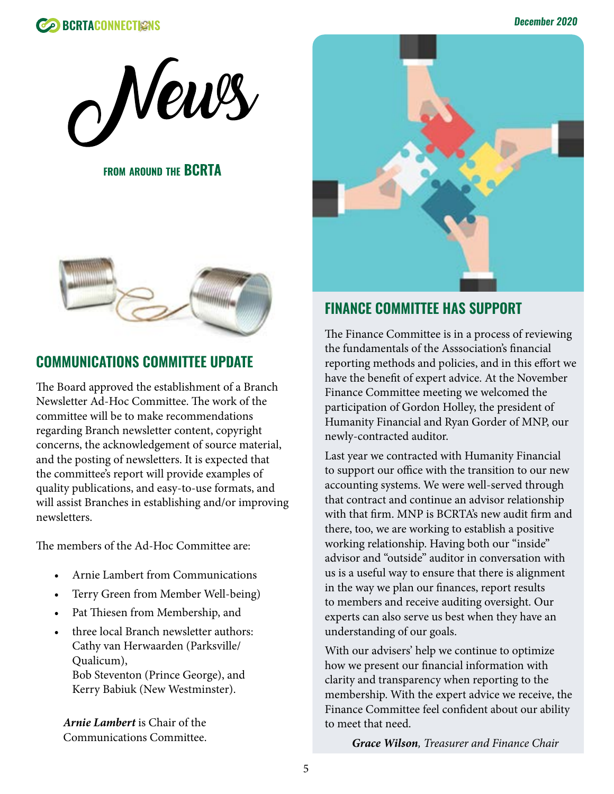



**FROM AROUND THE BCRTA** 



# **COMMUNICATIONS COMMITTEE UPDATE**

The Board approved the establishment of a Branch Newsletter Ad-Hoc Committee. The work of the committee will be to make recommendations regarding Branch newsletter content, copyright concerns, the acknowledgement of source material, and the posting of newsletters. It is expected that the committee's report will provide examples of quality publications, and easy-to-use formats, and will assist Branches in establishing and/or improving newsletters.

The members of the Ad-Hoc Committee are:

- Arnie Lambert from Communications
- Terry Green from Member Well-being)
- Pat Thiesen from Membership, and
- three local Branch newsletter authors: Cathy van Herwaarden (Parksville/ Qualicum), Bob Steventon (Prince George), and Kerry Babiuk (New Westminster).

*Arnie Lambert* is Chair of the Communications Committee.



# **FINANCE COMMITTEE HAS SUPPORT**

The Finance Committee is in a process of reviewing the fundamentals of the Asssociation's financial reporting methods and policies, and in this effort we have the benefit of expert advice. At the November Finance Committee meeting we welcomed the participation of Gordon Holley, the president of Humanity Financial and Ryan Gorder of MNP, our newly-contracted auditor.

Last year we contracted with Humanity Financial to support our office with the transition to our new accounting systems. We were well-served through that contract and continue an advisor relationship with that firm. MNP is BCRTA's new audit firm and there, too, we are working to establish a positive working relationship. Having both our "inside" advisor and "outside" auditor in conversation with us is a useful way to ensure that there is alignment in the way we plan our finances, report results to members and receive auditing oversight. Our experts can also serve us best when they have an understanding of our goals.

With our advisers' help we continue to optimize how we present our financial information with clarity and transparency when reporting to the membership. With the expert advice we receive, the Finance Committee feel confident about our ability to meet that need.

*Grace Wilson, Treasurer and Finance Chair*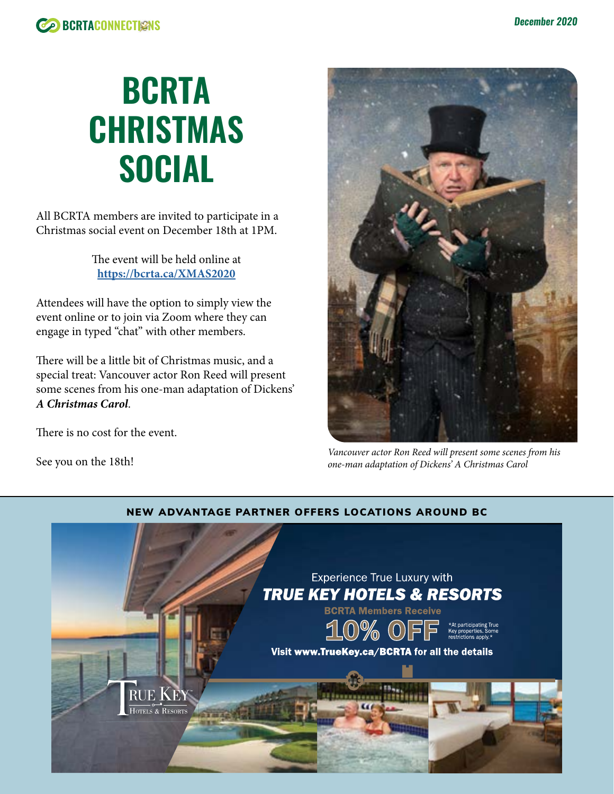

# **BCRTA CHRISTMAS SOCIAL**

All BCRTA members are invited to participate in a Christmas social event on December 18th at 1PM.

> The event will be held online at **<https://bcrta.ca/XMAS2020>**

Attendees will have the option to simply view the event online or to join via Zoom where they can engage in typed "chat" with other members.

There will be a little bit of Christmas music, and a special treat: Vancouver actor Ron Reed will present some scenes from his one-man adaptation of Dickens' *A Christmas Carol*.

There is no cost for the event.

See you on the 18th!



*Vancouver actor Ron Reed will present some scenes from his one-man adaptation of Dickens' A Christmas Carol*



### NEW ADVANTAGE PARTNER OFFERS LOCATIONS AROUND BC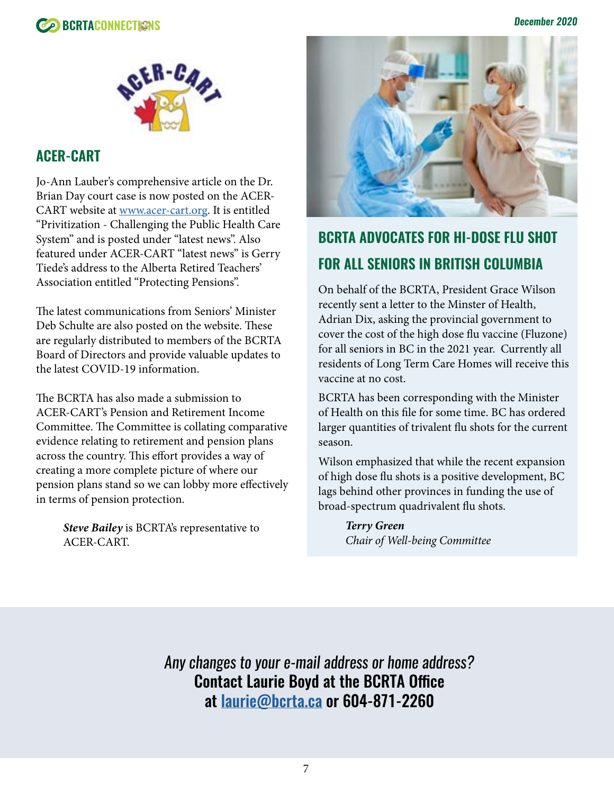





### **ACER-CART**

Jo-Ann Lauber's comprehensive article on the Dr. Brian Day court case is now posted on the ACER-CART website at [www.acer-cart.org.](http://www.acer-cart.org) It is entitled "Privitization - Challenging the Public Health Care System" and is posted under "latest news". Also featured under ACER-CART "latest news" is Gerry Tiede's address to the Alberta Retired Teachers' Association entitled "Protecting Pensions".

The latest communications from Seniors' Minister Deb Schulte are also posted on the website. These are regularly distributed to members of the BCRTA Board of Directors and provide valuable updates to the latest COVID-19 information.

The BCRTA has also made a submission to ACER-CART's Pension and Retirement Income Committee. The Committee is collating comparative evidence relating to retirement and pension plans across the country. This effort provides a way of creating a more complete picture of where our pension plans stand so we can lobby more effectively in terms of pension protection.

> *Steve Bailey* is BCRTA's representative to ACER-CART.



# **BCRTA ADVOCATES FOR HI-DOSE FLU SHOT FOR ALL SENIORS IN BRITISH COLUMBIA**

On behalf of the BCRTA, President Grace Wilson recently sent a letter to the Minster of Health, Adrian Dix, asking the provincial government to cover the cost of the high dose flu vaccine (Fluzone) for all seniors in BC in the 2021 year. Currently all residents of Long Term Care Homes will receive this vaccine at no cost.

BCRTA has been corresponding with the Minister of Health on this file for some time. BC has ordered larger quantities of trivalent flu shots for the current season.

Wilson emphasized that while the recent expansion of high dose flu shots is a positive development, BC lags behind other provinces in funding the use of broad-spectrum quadrivalent flu shots.

> *Terry Green Chair of Well-being Committee*

*Any changes to your e-mail address or home address?* Contact Laurie Boyd at the BCRTA Office at [laurie@bcrta.ca](mailto:laurie%40bcrta.ca?subject=BCRTA%20Member%20Info%20Update) or 604-871-2260